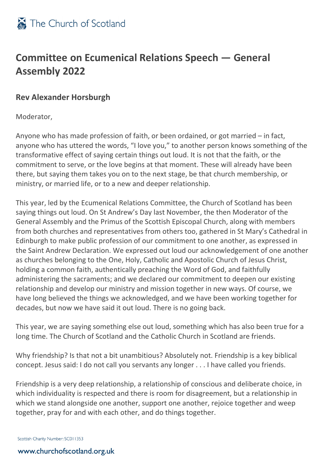

## **Committee on Ecumenical Relations Speech — General Assembly 2022**

## **Rev Alexander Horsburgh**

Moderator,

Anyone who has made profession of faith, or been ordained, or got married – in fact, anyone who has uttered the words, "I love you," to another person knows something of the transformative effect of saying certain things out loud. It is not that the faith, or the commitment to serve, or the love begins at that moment. These will already have been there, but saying them takes you on to the next stage, be that church membership, or ministry, or married life, or to a new and deeper relationship.

This year, led by the Ecumenical Relations Committee, the Church of Scotland has been saying things out loud. On St Andrew's Day last November, the then Moderator of the General Assembly and the Primus of the Scottish Episcopal Church, along with members from both churches and representatives from others too, gathered in St Mary's Cathedral in Edinburgh to make public profession of our commitment to one another, as expressed in the Saint Andrew Declaration. We expressed out loud our acknowledgement of one another as churches belonging to the One, Holy, Catholic and Apostolic Church of Jesus Christ, holding a common faith, authentically preaching the Word of God, and faithfully administering the sacraments; and we declared our commitment to deepen our existing relationship and develop our ministry and mission together in new ways. Of course, we have long believed the things we acknowledged, and we have been working together for decades, but now we have said it out loud. There is no going back.

This year, we are saying something else out loud, something which has also been true for a long time. The Church of Scotland and the Catholic Church in Scotland are friends.

Why friendship? Is that not a bit unambitious? Absolutely not. Friendship is a key biblical concept. Jesus said: I do not call you servants any longer . . . I have called you friends.

Friendship is a very deep relationship, a relationship of conscious and deliberate choice, in which individuality is respected and there is room for disagreement, but a relationship in which we stand alongside one another, support one another, rejoice together and weep together, pray for and with each other, and do things together.

Scottish Charity Number: SC011353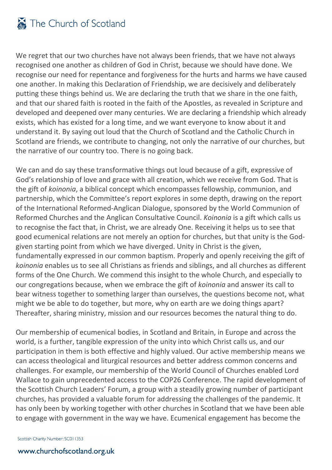## The Church of Scotland

We regret that our two churches have not always been friends, that we have not always recognised one another as children of God in Christ, because we should have done. We recognise our need for repentance and forgiveness for the hurts and harms we have caused one another. In making this Declaration of Friendship, we are decisively and deliberately putting these things behind us. We are declaring the truth that we share in the one faith, and that our shared faith is rooted in the faith of the Apostles, as revealed in Scripture and developed and deepened over many centuries. We are declaring a friendship which already exists, which has existed for a long time, and we want everyone to know about it and understand it. By saying out loud that the Church of Scotland and the Catholic Church in Scotland are friends, we contribute to changing, not only the narrative of our churches, but the narrative of our country too. There is no going back.

We can and do say these transformative things out loud because of a gift, expressive of God's relationship of love and grace with all creation, which we receive from God. That is the gift of *koinonia*, a biblical concept which encompasses fellowship, communion, and partnership, which the Committee's report explores in some depth, drawing on the report of the International Reformed-Anglican Dialogue, sponsored by the World Communion of Reformed Churches and the Anglican Consultative Council. *Koinonia* is a gift which calls us to recognise the fact that, in Christ, we are already One. Receiving it helps us to see that good ecumenical relations are not merely an option for churches, but that unity is the Godgiven starting point from which we have diverged. Unity in Christ is the given, fundamentally expressed in our common baptism. Properly and openly receiving the gift of *koinonia* enables us to see all Christians as friends and siblings, and all churches as different forms of the One Church. We commend this insight to the whole Church, and especially to our congregations because, when we embrace the gift of *koinonia* and answer its call to bear witness together to something larger than ourselves, the questions become not, what might we be able to do together, but more, why on earth are we doing things apart? Thereafter, sharing ministry, mission and our resources becomes the natural thing to do.

Our membership of ecumenical bodies, in Scotland and Britain, in Europe and across the world, is a further, tangible expression of the unity into which Christ calls us, and our participation in them is both effective and highly valued. Our active membership means we can access theological and liturgical resources and better address common concerns and challenges. For example, our membership of the World Council of Churches enabled Lord Wallace to gain unprecedented access to the COP26 Conference. The rapid development of the Scottish Church Leaders' Forum, a group with a steadily growing number of participant churches, has provided a valuable forum for addressing the challenges of the pandemic. It has only been by working together with other churches in Scotland that we have been able to engage with government in the way we have. Ecumenical engagement has become the

Scottish Charity Number: SC011353